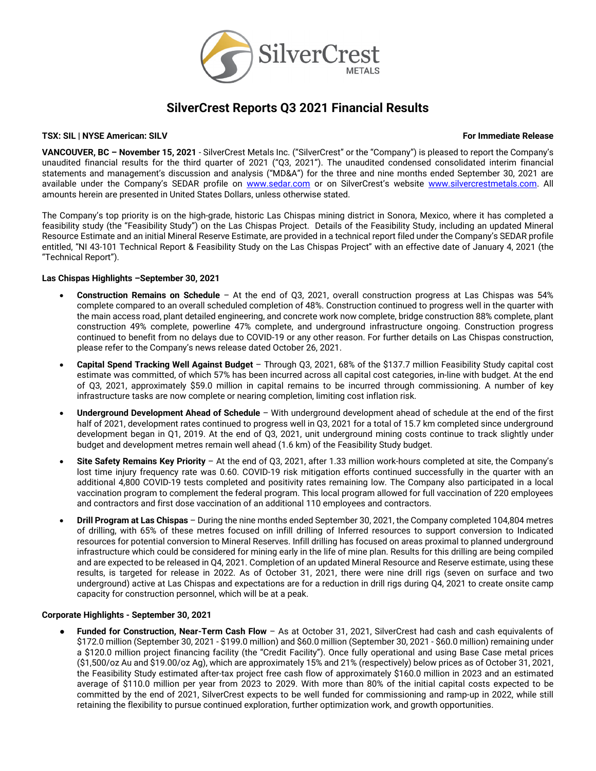

# **SilverCrest Reports Q3 2021 Financial Results**

### **TSX: SIL | NYSE American: SILV For Immediate Release**

**VANCOUVER, BC – November 15, 2021** - SilverCrest Metals Inc. ("SilverCrest" or the "Company") is pleased to report the Company's unaudited financial results for the third quarter of 2021 ("Q3, 2021"). The unaudited condensed consolidated interim financial statements and management's discussion and analysis ("MD&A") for the three and nine months ended September 30, 2021 are available under the Company's SEDAR profile on [www.sedar.com](http://www.sedar.com/) or on SilverCrest's website [www.silvercrestmetals.com.](http://www.silvercrestmetals.com/) All amounts herein are presented in United States Dollars, unless otherwise stated.

The Company's top priority is on the high-grade, historic Las Chispas mining district in Sonora, Mexico, where it has completed a feasibility study (the "Feasibility Study") on the Las Chispas Project. Details of the Feasibility Study, including an updated Mineral Resource Estimate and an initial Mineral Reserve Estimate, are provided in a technical report filed under the Company's SEDAR profile entitled, "NI 43-101 Technical Report & Feasibility Study on the Las Chispas Project" with an effective date of January 4, 2021 (the "Technical Report").

### **Las Chispas Highlights –September 30, 2021**

- **Construction Remains on Schedule**  At the end of Q3, 2021, overall construction progress at Las Chispas was 54% complete compared to an overall scheduled completion of 48%. Construction continued to progress well in the quarter with the main access road, plant detailed engineering, and concrete work now complete, bridge construction 88% complete, plant construction 49% complete, powerline 47% complete, and underground infrastructure ongoing. Construction progress continued to benefit from no delays due to COVID-19 or any other reason. For further details on Las Chispas construction, please refer to the Company's news release dated October 26, 2021.
- **Capital Spend Tracking Well Against Budget**  Through Q3, 2021, 68% of the \$137.7 million Feasibility Study capital cost estimate was committed, of which 57% has been incurred across all capital cost categories, in-line with budget. At the end of Q3, 2021, approximately \$59.0 million in capital remains to be incurred through commissioning. A number of key infrastructure tasks are now complete or nearing completion, limiting cost inflation risk.
- **Underground Development Ahead of Schedule** With underground development ahead of schedule at the end of the first half of 2021, development rates continued to progress well in Q3, 2021 for a total of 15.7 km completed since underground development began in Q1, 2019. At the end of Q3, 2021, unit underground mining costs continue to track slightly under budget and development metres remain well ahead (1.6 km) of the Feasibility Study budget.
- **Site Safety Remains Key Priority** At the end of Q3, 2021, after 1.33 million work-hours completed at site, the Company's lost time injury frequency rate was 0.60. COVID-19 risk mitigation efforts continued successfully in the quarter with an additional 4,800 COVID-19 tests completed and positivity rates remaining low. The Company also participated in a local vaccination program to complement the federal program. This local program allowed for full vaccination of 220 employees and contractors and first dose vaccination of an additional 110 employees and contractors.
- **Drill Program at Las Chispas** During the nine months ended September 30, 2021, the Company completed 104,804 metres of drilling, with 65% of these metres focused on infill drilling of Inferred resources to support conversion to Indicated resources for potential conversion to Mineral Reserves. Infill drilling has focused on areas proximal to planned underground infrastructure which could be considered for mining early in the life of mine plan. Results for this drilling are being compiled and are expected to be released in Q4, 2021. Completion of an updated Mineral Resource and Reserve estimate, using these results, is targeted for release in 2022. As of October 31, 2021, there were nine drill rigs (seven on surface and two underground) active at Las Chispas and expectations are for a reduction in drill rigs during Q4, 2021 to create onsite camp capacity for construction personnel, which will be at a peak.

# **Corporate Highlights - September 30, 2021**

Funded for Construction, Near-Term Cash Flow - As at October 31, 2021, SilverCrest had cash and cash equivalents of \$172.0 million (September 30, 2021 - \$199.0 million) and \$60.0 million (September 30, 2021 - \$60.0 million) remaining under a \$120.0 million project financing facility (the "Credit Facility"). Once fully operational and using Base Case metal prices (\$1,500/oz Au and \$19.00/oz Ag), which are approximately 15% and 21% (respectively) below prices as of October 31, 2021, the Feasibility Study estimated after-tax project free cash flow of approximately \$160.0 million in 2023 and an estimated average of \$110.0 million per year from 2023 to 2029. With more than 80% of the initial capital costs expected to be committed by the end of 2021, SilverCrest expects to be well funded for commissioning and ramp-up in 2022, while still retaining the flexibility to pursue continued exploration, further optimization work, and growth opportunities.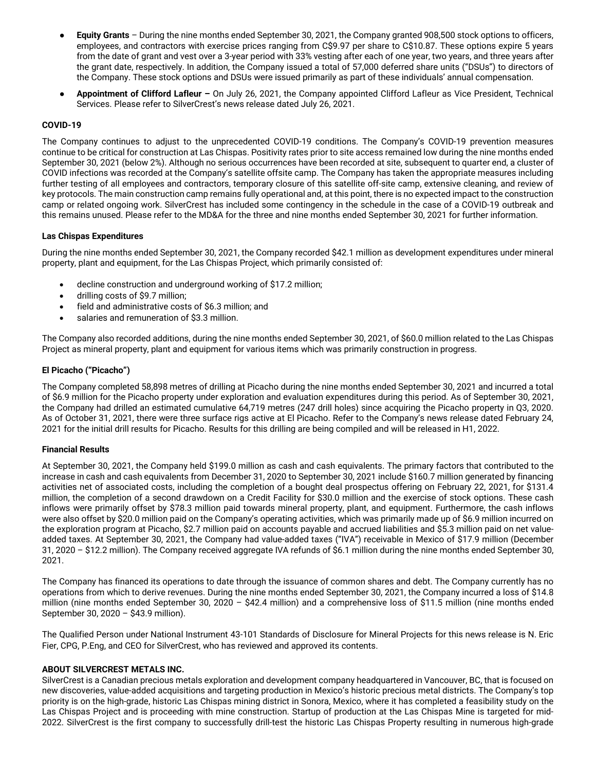- **Equity Grants** During the nine months ended September 30, 2021, the Company granted 908,500 stock options to officers, employees, and contractors with exercise prices ranging from C\$9.97 per share to C\$10.87. These options expire 5 years from the date of grant and vest over a 3-year period with 33% vesting after each of one year, two years, and three years after the grant date, respectively. In addition, the Company issued a total of 57,000 deferred share units ("DSUs") to directors of the Company. These stock options and DSUs were issued primarily as part of these individuals' annual compensation.
- **Appointment of Clifford Lafleur –** On July 26, 2021, the Company appointed Clifford Lafleur as Vice President, Technical Services. Please refer to SilverCrest's news release dated July 26, 2021.

# **COVID-19**

The Company continues to adjust to the unprecedented COVID-19 conditions. The Company's COVID-19 prevention measures continue to be critical for construction at Las Chispas. Positivity rates prior to site access remained low during the nine months ended September 30, 2021 (below 2%). Although no serious occurrences have been recorded at site, subsequent to quarter end, a cluster of COVID infections was recorded at the Company's satellite offsite camp. The Company has taken the appropriate measures including further testing of all employees and contractors, temporary closure of this satellite off-site camp, extensive cleaning, and review of key protocols. The main construction camp remains fully operational and, at this point, there is no expected impact to the construction camp or related ongoing work. SilverCrest has included some contingency in the schedule in the case of a COVID-19 outbreak and this remains unused. Please refer to the MD&A for the three and nine months ended September 30, 2021 for further information.

### **Las Chispas Expenditures**

During the nine months ended September 30, 2021, the Company recorded \$42.1 million as development expenditures under mineral property, plant and equipment, for the Las Chispas Project, which primarily consisted of:

- decline construction and underground working of \$17.2 million;
- drilling costs of \$9.7 million;
- field and administrative costs of \$6.3 million; and
- salaries and remuneration of \$3.3 million.

The Company also recorded additions, during the nine months ended September 30, 2021, of \$60.0 million related to the Las Chispas Project as mineral property, plant and equipment for various items which was primarily construction in progress.

# **El Picacho ("Picacho")**

The Company completed 58,898 metres of drilling at Picacho during the nine months ended September 30, 2021 and incurred a total of \$6.9 million for the Picacho property under exploration and evaluation expenditures during this period. As of September 30, 2021, the Company had drilled an estimated cumulative 64,719 metres (247 drill holes) since acquiring the Picacho property in Q3, 2020. As of October 31, 2021, there were three surface rigs active at El Picacho. Refer to the Company's news release dated February 24, 2021 for the initial drill results for Picacho. Results for this drilling are being compiled and will be released in H1, 2022.

### **Financial Results**

At September 30, 2021, the Company held \$199.0 million as cash and cash equivalents. The primary factors that contributed to the increase in cash and cash equivalents from December 31, 2020 to September 30, 2021 include \$160.7 million generated by financing activities net of associated costs, including the completion of a bought deal prospectus offering on February 22, 2021, for \$131.4 million, the completion of a second drawdown on a Credit Facility for \$30.0 million and the exercise of stock options. These cash inflows were primarily offset by \$78.3 million paid towards mineral property, plant, and equipment. Furthermore, the cash inflows were also offset by \$20.0 million paid on the Company's operating activities, which was primarily made up of \$6.9 million incurred on the exploration program at Picacho, \$2.7 million paid on accounts payable and accrued liabilities and \$5.3 million paid on net valueadded taxes. At September 30, 2021, the Company had value-added taxes ("IVA") receivable in Mexico of \$17.9 million (December 31, 2020 – \$12.2 million). The Company received aggregate IVA refunds of \$6.1 million during the nine months ended September 30, 2021.

The Company has financed its operations to date through the issuance of common shares and debt. The Company currently has no operations from which to derive revenues. During the nine months ended September 30, 2021, the Company incurred a loss of \$14.8 million (nine months ended September 30, 2020 – \$42.4 million) and a comprehensive loss of \$11.5 million (nine months ended September 30, 2020 – \$43.9 million).

The Qualified Person under National Instrument 43-101 Standards of Disclosure for Mineral Projects for this news release is N. Eric Fier, CPG, P.Eng, and CEO for SilverCrest, who has reviewed and approved its contents.

### **ABOUT SILVERCREST METALS INC.**

SilverCrest is a Canadian precious metals exploration and development company headquartered in Vancouver, BC, that is focused on new discoveries, value-added acquisitions and targeting production in Mexico's historic precious metal districts. The Company's top priority is on the high-grade, historic Las Chispas mining district in Sonora, Mexico, where it has completed a feasibility study on the Las Chispas Project and is proceeding with mine construction. Startup of production at the Las Chispas Mine is targeted for mid-2022. SilverCrest is the first company to successfully drill-test the historic Las Chispas Property resulting in numerous high-grade